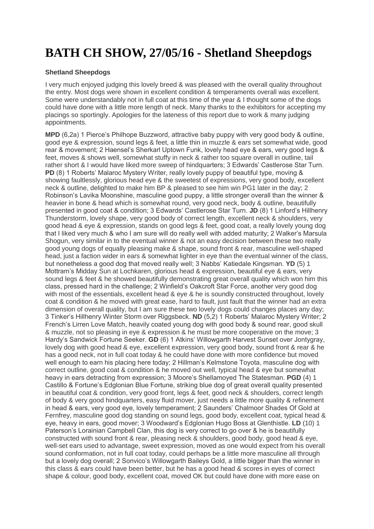## **BATH CH SHOW, 27/05/16 - Shetland Sheepdogs**

## **Shetland Sheepdogs**

I very much enjoyed judging this lovely breed & was pleased with the overall quality throughout the entry. Most dogs were shown in excellent condition & temperaments overall was excellent. Some were understandably not in full coat at this time of the year & I thought some of the dogs could have done with a little more length of neck. Many thanks to the exhibitors for accepting my placings so sportingly. Apologies for the lateness of this report due to work & many judging appointments.

**MPD** (6,2a) 1 Pierce's Philhope Buzzword, attractive baby puppy with very good body & outline, good eye & expression, sound legs & feet, a little thin in muzzle & ears set somewhat wide, good rear & movement; 2 Haensel's Sherkarl Uptown Funk, lovely head eye & ears, very good legs & feet, moves & shows well, somewhat stuffy in neck & rather too square overall in outline, tail rather short & I would have liked more sweep of hindquarters; 3 Edwards' Castlerose Star Turn. **PD** (8) 1 Roberts' Malaroc Mystery Writer, really lovely puppy of beautiful type, moving & showing faultlessly, glorious head eye & the sweetest of expressions, very good body, excellent neck & outline, delighted to make him BP & pleased to see him win PG1 later in the day; 2 Robinson's Lavika Moonshine, masculine good puppy, a little stronger overall than the winner & heavier in bone & head which is somewhat round, very good neck, body & outline, beautifully presented in good coat & condition; 3 Edwards' Castlerose Star Turn. **JD** (8) 1 Linford's Hillhenry Thunderstorm, lovely shape, very good body of correct length, excellent neck & shoulders, very good head & eye & expression, stands on good legs & feet, good coat, a really lovely young dog that I liked very much & who I am sure will do really well with added maturity; 2 Walker's Marsula Shogun, very similar in to the eventual winner & not an easy decision between these two really good young dogs of equally pleasing make & shape, sound front & rear, masculine well-shaped head, just a faction wider in ears & somewhat lighter in eye than the eventual winner of the class, but nonetheless a good dog that moved really well; 3 Nabbs' Katiedale Kingsman. **YD** (5) 1 Mottram's Midday Sun at Lochkaren, glorious head & expression, beautiful eye & ears, very sound legs & feet & he showed beautifully demonstrating great overall quality which won him this class, pressed hard in the challenge; 2 Winfield's Oakcroft Star Force, another very good dog with most of the essentials, excellent head & eye & he is soundly constructed throughout, lovely coat & condition & he moved with great ease, hard to fault, just fault that the winner had an extra dimension of overall quality, but I am sure these two lovely dogs could changes places any day; 3 Tinker's Hillhenry Winter Storm over Riggsbeck. **ND** (5,2) 1 Roberts' Malaroc Mystery Writer; 2 French's Lirren Love Match, heavily coated young dog with good body & sound rear, good skull & muzzle, not so pleasing in eye & expression & he must be more cooperative on the move; 3 Hardy's Sandwick Fortune Seeker. **GD** (6) 1 Atkins' Willowgarth Harvest Sunset over Jontygray, lovely dog with good head & eye, excellent expression, very good body, sound front & rear & he has a good neck, not in full coat today & he could have done with more confidence but moved well enough to earn his placing here today; 2 Hillman's Kelmstone Toyota, masculine dog with correct outline, good coat & condition & he moved out well, typical head & eye but somewhat heavy in ears detracting from expression; 3 Moore's Shellamoyed The Statesman. **PGD** (4) 1 Castillo & Fortune's Edglonian Blue Fortune, striking blue dog of great overall quality presented in beautiful coat & condition, very good front, legs & feet, good neck & shoulders, correct length of body & very good hindquarters, easy fluid mover, just needs a little more quality & refinement in head & ears, very good eye, lovely temperament; 2 Saunders' Chalmoor Shades Of Gold at Fernfrey, masculine good dog standing on sound legs, good body, excellent coat, typical head & eye, heavy in ears, good mover; 3 Woodward's Edglonian Hugo Boss at Glenthistle. **LD** (10) 1 Paterson's Lorainian Campbell Clan, this dog is very correct to go over & he is beautifully constructed with sound front & rear, pleasing neck & shoulders, good body, good head & eye, well-set ears used to advantage, sweet expression, moved as one would expect from his overall sound conformation, not in full coat today, could perhaps be a little more masculine all through but a lovely dog overall; 2 Sonvico's Willowgarth Baileys Gold, a little bigger than the winner in this class & ears could have been better, but he has a good head & scores in eyes of correct shape & colour, good body, excellent coat, moved OK but could have done with more ease on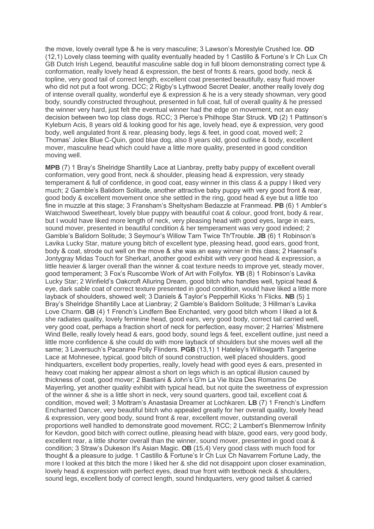the move, lovely overall type & he is very masculine; 3 Lawson's Morestyle Crushed Ice. **OD** (12,1) Lovely class teeming with quality eventually headed by 1 Castillo & Fortune's Ir Ch Lux Ch GB Dutch Irish Legend, beautiful masculine sable dog in full bloom demonstrating correct type & conformation, really lovely head & expression, the best of fronts & rears, good body, neck & topline, very good tail of correct length, excellent coat presented beautifully, easy fluid mover who did not put a foot wrong. DCC; 2 Rigby's Lythwood Secret Dealer, another really lovely dog of intense overall quality, wonderful eye & expression & he is a very steady showman, very good body, soundly constructed throughout, presented in full coat, full of overall quality & he pressed the winner very hard, just felt the eventual winner had the edge on movement, not an easy decision between two top class dogs. RCC; 3 Pierce's Philhope Star Struck. **VD** (2) 1 Pattinson's Kyleburn Acis, 8 years old & looking good for his age, lovely head, eye & expression, very good body, well angulated front & rear, pleasing body, legs & feet, in good coat, moved well; 2 Thomas' Jolex Blue C-Quin, good blue dog, also 8 years old, good outline & body, excellent mover, masculine head which could have a little more quality, presented in good condition moving well.

**MPB** (7) 1 Bray's Shelridge Shantilly Lace at Lianbray, pretty baby puppy of excellent overall conformation, very good front, neck & shoulder, pleasing head & expression, very steady temperament & full of confidence, in good coat, easy winner in this class & a puppy I liked very much; 2 Gamble's Balidorn Solitude, another attractive baby puppy with very good front & rear, good body & excellent movement once she settled in the ring, good head & eye but a little too fine in muzzle at this stage; 3 Fransham's Sheltysham Bedazzle at Franmead. **PB** (6) 1 Ambler's Watchwood Sweetheart, lovely blue puppy with beautiful coat & colour, good front, body & rear, but I would have liked more length of neck, very pleasing head with good eyes, large in ears, sound mover, presented in beautiful condition & her temperament was very good indeed; 2 Gamble's Balidorn Solitude; 3 Seymour's Willow Tarn Twice Th'Trouble. **JB** (6) 1 Robinson's Lavika Lucky Star, mature young bitch of excellent type, pleasing head, good ears, good front, body & coat, strode out well on the move & she was an easy winner in this class; 2 Haensel's Jontygray Midas Touch for Sherkarl, another good exhibit with very good head & expression, a little heavier & larger overall than the winner & coat texture needs to improve yet, steady mover, good temperament; 3 Fox's Ruscombe Work of Art with Follyfox. **YB** (8) 1 Robinson's Lavika Lucky Star; 2 Winfield's Oakcroft Alluring Dream, good bitch who handles well, typical head & eye, dark sable coat of correct texture presented in good condition, would have liked a little more layback of shoulders, showed well; 3 Daniels & Taylor's Pepperhill Kicks 'n Flicks. **NB** (5) 1 Bray's Shelridge Shantilly Lace at Lianbray; 2 Gamble's Balidorn Solitude; 3 Hillman's Lavika Love Charm. **GB** (4) 1 French's Lindfern Bee Enchanted, very good bitch whom I liked a lot & she radiates quality, lovely feminine head, good ears, very good body, correct tail carried well, very good coat, perhaps a fraction short of neck for perfection, easy mover; 2 Harries' Mistmere Wind Belle, really lovely head & ears, good body, sound legs & feet, excellent outline, just need a little more confidence & she could do with more layback of shoulders but she moves well all the same; 3 Laversuch's Pacarane Polly Flinders. **PGB** (13,1) 1 Hateley's Willowgarth Tangerine Lace at Mohnesee, typical, good bitch of sound construction, well placed shoulders, good hindquarters, excellent body properties, really, lovely head with good eyes & ears, presented in heavy coat making her appear almost a short on legs which is an optical illusion caused by thickness of coat, good mover; 2 Bastiani & John's G'm La Vie Ibiza Des Romarins De Mayerling, yet another quality exhibit with typical head, but not quite the sweetness of expression of the winner & she is a little short in neck, very sound quarters, good tail, excellent coat & condition, moved well; 3 Mottram's Anastasia Dreamer at Lochkaren. **LB** (7) 1 French's Lindfern Enchanted Dancer, very beautiful bitch who appealed greatly for her overall quality, lovely head & expression, very good body, sound front & rear, excellent mover, outstanding overall proportions well handled to demonstrate good movement. RCC; 2 Lambert's Blenmerrow Infinity for Kevdon, good bitch with correct outline, pleasing head with blaze, good ears, very good body, excellent rear, a little shorter overall than the winner, sound mover, presented in good coat & condition; 3 Straw's Dukeson It's Asian Magic. **OB** (15,4) Very good class with much food for thought & a pleasure to judge. 1 Castillo & Fortune's Ir Ch Lux Ch Navarrem Fortune Lady, the more I looked at this bitch the more I liked her & she did not disappoint upon closer examination, lovely head & expression with perfect eyes, dead true front with textbook neck & shoulders, sound legs, excellent body of correct length, sound hindquarters, very good tailset & carried